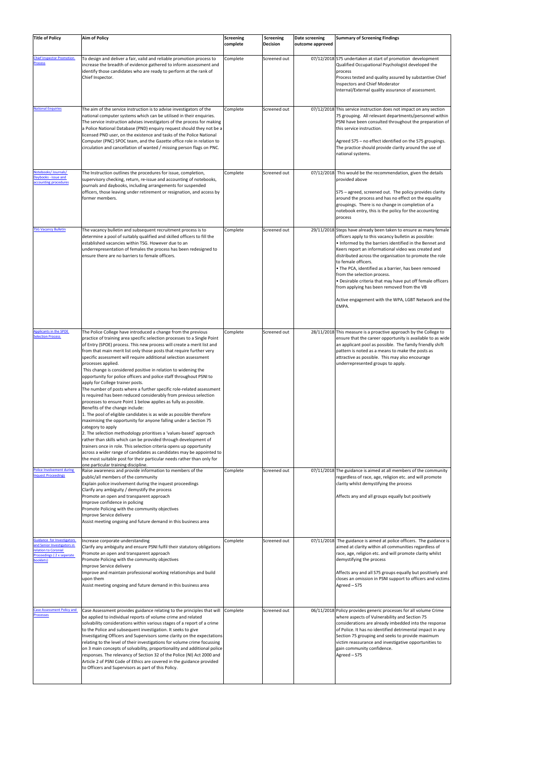| <b>Title of Policy</b>                                                                                                             | <b>Aim of Policy</b>                                                                                                                                                                                                                                                                                                                                                                                                                                                                                                                                                                                                                                                                                                                                                                                                                                                                                                                                                                                                                                                                                                                                                                                                                                                                                                                                                                           | Screening<br>complete | Screening<br><b>Decision</b> | Date screening<br>outcome approved | <b>Summary of Screening Findings</b>                                                                                                                                                                                                                                                                                                                                                                                                                                                                                                                                                              |
|------------------------------------------------------------------------------------------------------------------------------------|------------------------------------------------------------------------------------------------------------------------------------------------------------------------------------------------------------------------------------------------------------------------------------------------------------------------------------------------------------------------------------------------------------------------------------------------------------------------------------------------------------------------------------------------------------------------------------------------------------------------------------------------------------------------------------------------------------------------------------------------------------------------------------------------------------------------------------------------------------------------------------------------------------------------------------------------------------------------------------------------------------------------------------------------------------------------------------------------------------------------------------------------------------------------------------------------------------------------------------------------------------------------------------------------------------------------------------------------------------------------------------------------|-----------------------|------------------------------|------------------------------------|---------------------------------------------------------------------------------------------------------------------------------------------------------------------------------------------------------------------------------------------------------------------------------------------------------------------------------------------------------------------------------------------------------------------------------------------------------------------------------------------------------------------------------------------------------------------------------------------------|
| <b>Chief Inspector Promotion</b><br><b>Process</b>                                                                                 | To design and deliver a fair, valid and reliable promotion process to<br>increase the breadth of evidence gathered to inform assessment and<br>identify those candidates who are ready to perform at the rank of<br>Chief Inspector.                                                                                                                                                                                                                                                                                                                                                                                                                                                                                                                                                                                                                                                                                                                                                                                                                                                                                                                                                                                                                                                                                                                                                           | Complete              | Screened out                 |                                    | 07/12/2018 S75 undertaken at start of promotion development<br>Qualified Occupational Psychologist developed the<br>process<br>Process tested and quality assured by substantive Chief<br><b>Inspectors and Chief Moderator</b><br>Internal/External quality assurance of assessment.                                                                                                                                                                                                                                                                                                             |
| <b>National Enquiries</b>                                                                                                          | The aim of the service instruction is to advise investigators of the<br>national computer systems which can be utilised in their enquiries.<br>The service instruction advises investigators of the process for making<br>a Police National Database (PND) enquiry request should they not be a<br>licensed PND user, on the existence and tasks of the Police National<br>Computer (PNC) SPOC team, and the Gazette office role in relation to<br>circulation and cancellation of wanted / missing person flags on PNC.                                                                                                                                                                                                                                                                                                                                                                                                                                                                                                                                                                                                                                                                                                                                                                                                                                                                       | Complete              | Screened out                 |                                    | 07/12/2018 This service instruction does not impact on any section<br>75 grouping. All relevant departments/personnel within<br>PSNI have been consulted throughout the preparation of<br>this service instruction.<br>Agreed S75 - no effect identified on the S75 groupings.<br>The practice should provide clarity around the use of<br>national systems.                                                                                                                                                                                                                                      |
| lotebooks/Journals/<br>Daybooks - issue and<br>ccounting procedures                                                                | The Instruction outlines the procedures for issue, completion,<br>supervisory checking, return, re-issue and accounting of notebooks,<br>journals and daybooks, including arrangements for suspended<br>officers, those leaving under retirement or resignation, and access by<br>former members.                                                                                                                                                                                                                                                                                                                                                                                                                                                                                                                                                                                                                                                                                                                                                                                                                                                                                                                                                                                                                                                                                              | Complete              | Screened out                 |                                    | 07/12/2018 This would be the recommendation, given the details<br>provided above<br>S75 – agreed, screened out. The policy provides clarity<br>around the process and has no effect on the equality<br>groupings. There is no change in completion of a<br>notebook entry, this is the policy for the accounting<br>process                                                                                                                                                                                                                                                                       |
| <b>TSG Vacancy Bulletin</b>                                                                                                        | The vacancy bulletin and subsequent recruitment process is to<br>determine a pool of suitably qualified and skilled officers to fill the<br>established vacancies within TSG. However due to an<br>underrepresentation of females the process has been redesigned to<br>ensure there are no barriers to female officers.                                                                                                                                                                                                                                                                                                                                                                                                                                                                                                                                                                                                                                                                                                                                                                                                                                                                                                                                                                                                                                                                       | Complete              | Screened out                 |                                    | 29/11/2018 Steps have already been taken to ensure as many female<br>officers apply to this vacancy bulletin as possible:<br>. Informed by the barriers identified in the Bennet and<br>Keers report an informational video was created and<br>distributed across the organisation to promote the role<br>to female officers.<br>• The PCA, identified as a barrier, has been removed<br>from the selection process.<br>. Desirable criteria that may have put off female officers<br>from applying has been removed from the VB<br>Active engagement with the WPA, LGBT Network and the<br>EMPA. |
| Applicants in the SPOE<br><b>Selection Process</b>                                                                                 | The Police College have introduced a change from the previous<br>practice of training area specific selection processes to a Single Point<br>of Entry (SPOE) process. This new process will create a merit list and<br>from that main merit list only those posts that require further very<br>specific assessment will require additional selection assessment<br>processes applied.<br>This change is considered positive in relation to widening the<br>opportunity for police officers and police staff throughout PSNI to<br>apply for College trainer posts.<br>The number of posts where a further specific role-related assessment<br>is required has been reduced considerably from previous selection<br>processes to ensure Point 1 below applies as fully as possible.<br>Benefits of the change include:<br>1. The pool of eligible candidates is as wide as possible therefore<br>maximising the opportunity for anyone falling under a Section 75<br>category to apply<br>2. The selection methodology prioritises a 'values-based' approach<br>rather than skills which can be provided through development of<br>trainers once in role. This selection criteria opens up opportunity<br>across a wider range of candidates as candidates may be appointed to<br>the most suitable post for their particular needs rather than only for<br>one particular training discipline. | Complete              | Screened out                 |                                    | 28/11/2018 This measure is a proactive approach by the College to<br>ensure that the career opportunity is available to as wide<br>an applicant pool as possible. The family friendly shift<br>pattern is noted as a means to make the posts as<br>attractive as possible. This may also encourage<br>underrepresented groups to apply.                                                                                                                                                                                                                                                           |
| Police Involvement during<br>nquest Proceedings                                                                                    | Raise awareness and provide information to members of the<br>public/all members of the community<br>Explain police involvement during the inquest proceedings<br>Clarify any ambiguity / demystify the process<br>Promote an open and transparent approach<br>Improve confidence in policing<br>Promote Policing with the community objectives<br>Improve Service delivery<br>Assist meeting ongoing and future demand in this business area                                                                                                                                                                                                                                                                                                                                                                                                                                                                                                                                                                                                                                                                                                                                                                                                                                                                                                                                                   | Complete              | Screened out                 |                                    | 07/11/2018 The guidance is aimed at all members of the community<br>regardless of race, age, religion etc. and will promote<br>clarity whilst demystifying the process<br>Affects any and all groups equally but positively                                                                                                                                                                                                                                                                                                                                                                       |
| <b>Guidance for Investigators</b><br>and Senior Investigators in<br>relation to Coronial<br>Proceedings (2 x seperate<br>booklets) | Increase corporate understanding<br>Clarify any ambiguity and ensure PSNI fulfil their statutory obligations<br>Promote an open and transparent approach<br>Promote Policing with the community objectives<br>Improve Service delivery<br>Improve and maintain professional working relationships and build<br>upon them<br>Assist meeting ongoing and future demand in this business area                                                                                                                                                                                                                                                                                                                                                                                                                                                                                                                                                                                                                                                                                                                                                                                                                                                                                                                                                                                                     | Complete              | Screened out                 |                                    | 07/11/2018 The guidance is aimed at police officers. The guidance is<br>aimed at clarity within all communities regardless of<br>race, age, religion etc. and will promote clarity whilst<br>demystifying the process<br>Affects any and all S75 groups equally but positively and<br>closes an omission in PSNI support to officers and victims<br>Agreed - S75                                                                                                                                                                                                                                  |
| Case Assessment Policy and<br><b>Processes</b>                                                                                     | Case Assessment provides guidance relating to the principles that will<br>be applied to individual reports of volume crime and related<br>solvability considerations within various stages of a report of a crime<br>to the Police and subsequent investigation. It seeks to give<br>Investigating Officers and Supervisors some clarity on the expectations<br>relating to the level of their investigations for volume crime focussing<br>on 3 main concepts of solvability, proportionality and additional police<br>responses. The relevancy of Section 32 of the Police (NI) Act 2000 and<br>Article 2 of PSNI Code of Ethics are covered in the guidance provided<br>to Officers and Supervisors as part of this Policy.                                                                                                                                                                                                                                                                                                                                                                                                                                                                                                                                                                                                                                                                 | Complete              | Screened out                 |                                    | 06/11/2018 Policy provides generic processes for all volume Crime<br>where aspects of Vulnerability and Section 75<br>considerations are already imbedded into the response<br>of Police. It has no identified detrimental impact in any<br>Section 75 grouping and seeks to provide maximum<br>victim reassurance and investigative opportunities to<br>gain community confidence.<br>Agreed - S75                                                                                                                                                                                               |